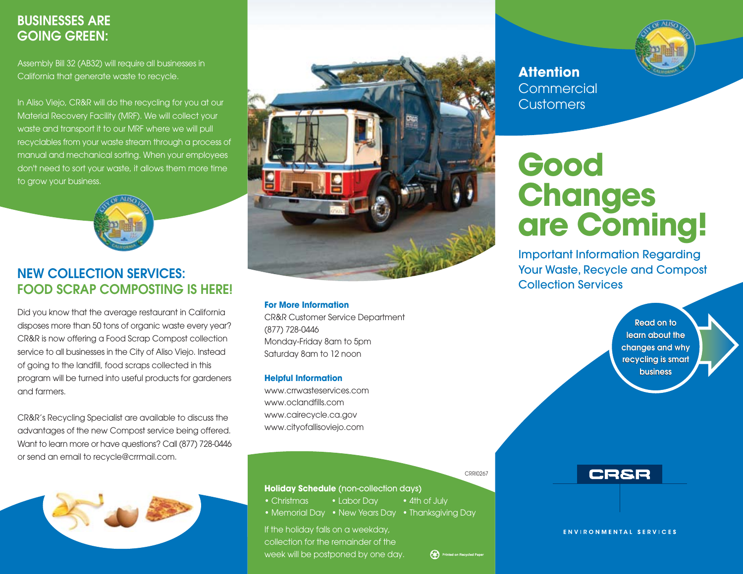# **BUSINESSES ARE GOING GREEN:**

Assembly Bill 32 (AB32) will require all businesses in California that generate waste to recycle.

In Aliso Viejo, CR&R will do the recycling for you at our Material Recovery Facility (MRF). We will collect your waste and transport it to our MRF where we will pull recyclables from your waste stream through a process of manual and mechanical sorting. When your employees don't need to sort your waste, it allows them more time to grow your business.



## **NEW COLLECTION SERVICES: FOOD SCRAP COMPOSTING IS HERE!**

Did you know that the average restaurant in California disposes more than 50 tons of organic waste every year? CR&R is now offering a Food Scrap Compost collection service to all businesses in the City of Aliso Viejo. Instead of going to the landfill, food scraps collected in this program will be turned into useful products for gardeners and farmers.

CR&R's Recycling Specialist are available to discuss the advantages of the new Compost service being offered. Want to learn more or have questions? Call (877) 728-0446 or send an email to recycle@crrmail.com.





#### **For More Information**

**CR&R Customer Service Department** (877) 728-0446 Monday-Friday 8am to 5pm Saturday 8am to 12 noon

#### **Helpful Information**

www.crrwasteservices.com www.oclandfills.com www.cairecycle.ca.gov www.cityofallisoviejo.com

**CRRI0267** 

Printed on Recycled Paper

· 4th of July

#### Holiday Schedule (non-collection days)

- $\bullet$  Christmas • Labor Dav
- Memorial Day New Years Day Thanksgiving Day

If the holiday falls on a weekday, collection for the remainder of the week will be postponed by one day.



**Attention** Commercial **Customers** 

# Good Changes are Coming!

**Important Information Regarding Your Waste, Recycle and Compost Collection Services** 

> Read on to learn about the changes and why recycling is smart **business**



**ENVIRONMENTAL SERVICES**